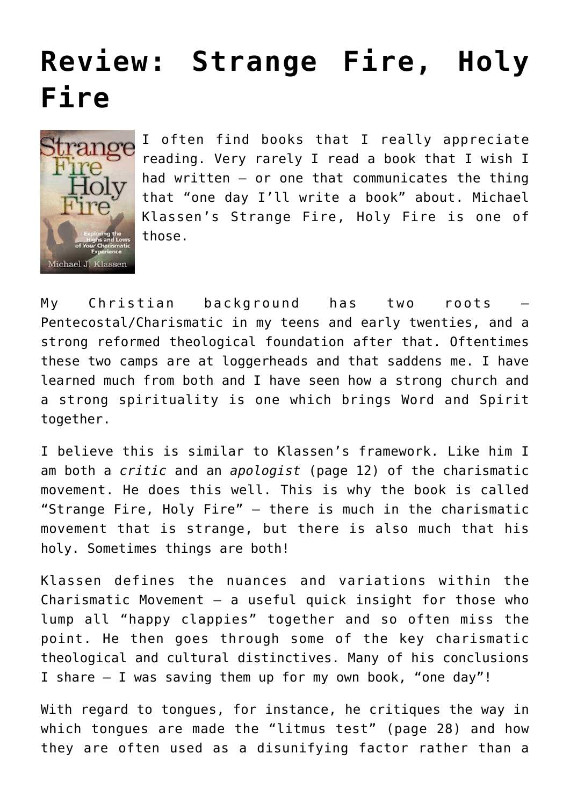## **[Review: Strange Fire, Holy](https://briggs.id.au/jour/2009/03/strange-fire-holy-fire-review/) [Fire](https://briggs.id.au/jour/2009/03/strange-fire-holy-fire-review/)**



I often find books that I really appreciate reading. Very rarely I read a book that I wish I had written – or one that communicates the thing that "one day I'll write a book" about. Michael Klassen's [Strange Fire, Holy Fire](http://www.strangefireholyfire.com/) is one of those.

My Christian background has two roots – Pentecostal/Charismatic in my teens and early twenties, and a strong reformed theological foundation after that. Oftentimes these two camps are at loggerheads and that saddens me. I have learned much from both and I have seen how a strong church and a strong spirituality is one which brings Word and Spirit together.

I believe this is similar to Klassen's framework. Like him I am both a *critic* and an *apologist* (page 12) of the charismatic movement. He does this well. This is why the book is called "Strange Fire, Holy Fire" – there is much in the charismatic movement that is strange, but there is also much that his holy. Sometimes things are both!

Klassen defines the nuances and variations within the Charismatic Movement  $-$  a useful quick insight for those who lump all "happy clappies" together and so often miss the point. He then goes through some of the key charismatic theological and cultural distinctives. Many of his conclusions I share – I was saving them up for my own book, "one day"!

With regard to tongues, for instance, he critiques the way in which tongues are made the "litmus test" (page 28) and how they are often used as a disunifying factor rather than a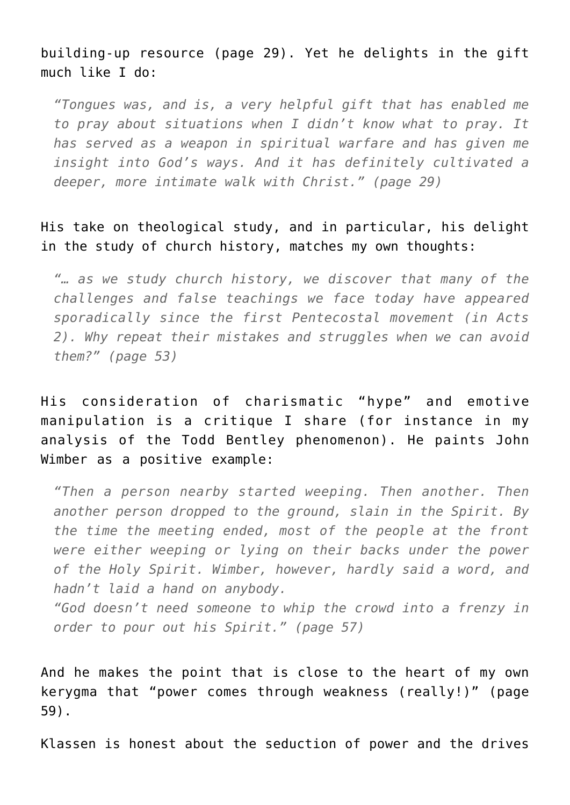## building-up resource (page 29). Yet he delights in the gift much like I do:

*"Tongues was, and is, a very helpful gift that has enabled me to pray about situations when I didn't know what to pray. It has served as a weapon in spiritual warfare and has given me insight into God's ways. And it has definitely cultivated a deeper, more intimate walk with Christ." (page 29)*

His take on theological study, and in particular, his delight in the study of church history, matches my own thoughts:

*"… as we study church history, we discover that many of the challenges and false teachings we face today have appeared sporadically since the first Pentecostal movement (in Acts 2). Why repeat their mistakes and struggles when we can avoid them?" (page 53)*

His consideration of charismatic "hype" and emotive manipulation is a critique I share (for instance in my analysis of the [Todd Bentley](http://god-s-will.blogspot.com/2008/07/wham-bam-lakeland-outpouring-from.html) phenomenon). He paints John Wimber as a positive example:

*"Then a person nearby started weeping. Then another. Then another person dropped to the ground, slain in the Spirit. By the time the meeting ended, most of the people at the front were either weeping or lying on their backs under the power of the Holy Spirit. Wimber, however, hardly said a word, and hadn't laid a hand on anybody.*

*"God doesn't need someone to whip the crowd into a frenzy in order to pour out his Spirit." (page 57)*

And he makes the point that is close to the heart of my own kerygma that "power comes through weakness (really!)" (page 59).

Klassen is honest about the seduction of power and the drives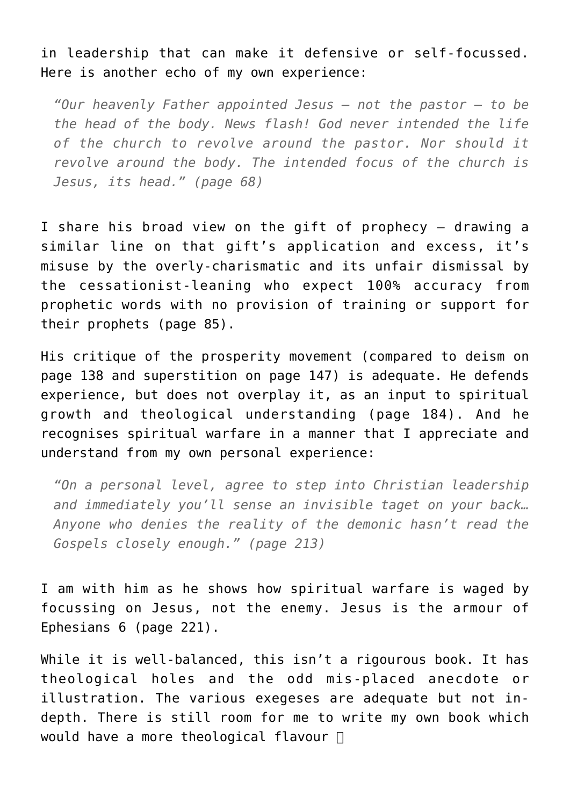in leadership that can make it defensive or self-focussed. Here is another echo of my own experience:

*"Our heavenly Father appointed Jesus – not the pastor – to be the head of the body. News flash! God never intended the life of the church to revolve around the pastor. Nor should it revolve around the body. The intended focus of the church is Jesus, its head." (page 68)*

I share his broad view on the gift of prophecy – drawing a similar line on that gift's application and excess, it's misuse by the overly-charismatic and its unfair dismissal by the cessationist-leaning who expect 100% accuracy from prophetic words with no provision of training or support for their prophets (page 85).

His critique of the prosperity movement (compared to deism on page 138 and superstition on page 147) is adequate. He defends experience, but does not overplay it, as an input to spiritual growth and theological understanding (page 184). And he recognises spiritual warfare in a manner that I appreciate and understand from my own personal experience:

*"On a personal level, agree to step into Christian leadership and immediately you'll sense an invisible taget on your back… Anyone who denies the reality of the demonic hasn't read the Gospels closely enough." (page 213)*

I am with him as he shows how spiritual warfare is waged by focussing on Jesus, not the enemy. Jesus is the armour of Ephesians 6 (page 221).

While it is well-balanced, this isn't a rigourous book. It has theological holes and the odd mis-placed anecdote or illustration. The various exegeses are adequate but not indepth. There is still room for me to write my own book which would have a more theological flavour  $\Box$